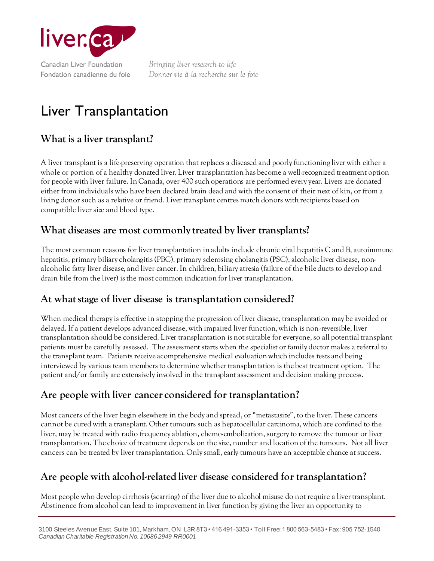

# Liver Transplantation

# **What is a liver transplant?**

A liver transplant is a life-preserving operation that replaces a diseased and poorly functioning liver with either a whole or portion of a healthy donated liver. Liver transplantation has become a well-recognized treatment option for people with liver failure. In Canada, over 400 such operations are performed every year. Livers are donated either from individuals who have been declared brain dead and with the consent of their next of kin, or from a living donor such as a relative or friend. Liver transplant centres match donors with recipients based on compatible liver size and blood type.

#### **What diseases are most commonly treated by liver transplants?**

The most common reasons for liver transplantation in adults include chronic viral hepatitis C and B, autoimmune hepatitis, primary biliary cholangitis (PBC), primary sclerosing cholangitis (PSC), alcoholic liver disease, nonalcoholic fatty liver disease, and liver cancer. In children, biliary atresia (failure of the bile ducts to develop and drain bile from the liver) is the most common indication for liver transplantation.

#### **At what stage of liver disease is transplantation considered?**

When medical therapy is effective in stopping the progression of liver disease, transplantation may be avoided or delayed. If a patient develops advanced disease, with impaired liver function, which is non-reversible, liver transplantation should be considered. Liver transplantation is not suitable for everyone, so all potential transplant patients must be carefully assessed. The assessment starts when the specialist or family doctor makes a referral to the transplant team. Patients receive acomprehensive medical evaluation which includes tests and being interviewed by various team members to determine whether transplantation is the best treatment option. The patient and/or family are extensively involved in the transplant assessment and decision making process.

# **Are people with liver cancer considered for transplantation?**

Most cancers of the liver begin elsewhere in the body and spread, or "metastasize", to the liver. These cancers cannot be cured with a transplant. Other tumours such as hepatocellular carcinoma, which are confined to the liver, may be treated with radio frequency ablation, chemo-embolization, surgery to remove the tumour or liver transplantation. The choice of treatment depends on the size, number and location of the tumours. Not all liver cancers can be treated by liver transplantation. Only small, early tumours have an acceptable chance at success.

# **Are people with alcohol-related liver disease considered for transplantation?**

Most people who develop cirrhosis (scarring) of the liver due to alcohol misuse do not require a liver transplant. Abstinence from alcohol can lead to improvement in liver function by giving the liver an opportunity to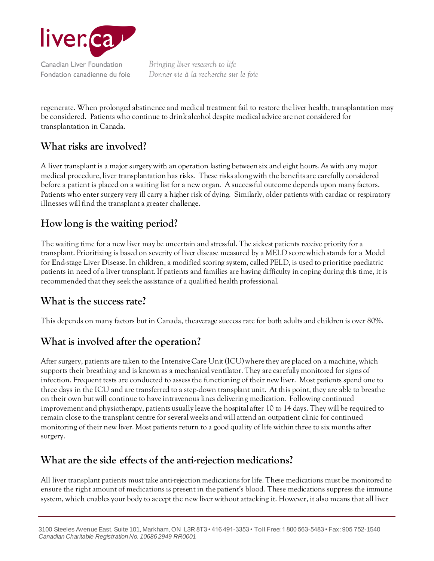

regenerate. When prolonged abstinence and medical treatment fail to restore the liver health, transplantation may be considered. Patients who continue to drink alcohol despite medical advice are not considered for transplantation in Canada.

#### **What risks are involved?**

A liver transplant is a major surgery with an operation lasting between six and eight hours. As with any major medical procedure, liver transplantation has risks. These risks along with the benefits are carefully considered before a patient is placed on a waiting list for a new organ. A successful outcome depends upon many factors. Patients who enter surgery very ill carry a higher risk of dying. Similarly, older patients with cardiac or respiratory illnesses will find the transplant a greater challenge.

# **How long is the waiting period?**

The waiting time for a new liver may be uncertain and stressful. The sickest patients receive priority for a transplant. Prioritizing is based on severity of liver disease measured by a MELD score which stands for a **M**odel for **E**nd-stage **L**iver **D**isease. In children, a modified scoring system, called PELD, is used to prioritize paediatric patients in need of a liver transplant. If patients and families are having difficulty in coping during this time, it is recommended that they seek the assistance of a qualified health professional.

#### **What is the success rate?**

This depends on many factors but in Canada, theaverage success rate for both adults and children is over 80%.

# **What is involved after the operation?**

After surgery, patients are taken to the Intensive Care Unit (ICU) where they are placed on a machine, which supports their breathing and is known as a mechanical ventilator. They are carefully monitored for signs of infection. Frequent tests are conducted to assess the functioning of their new liver. Most patients spend one to three days in the ICU and are transferred to a step-down transplant unit. At this point, they are able to breathe on their own but will continue to have intravenous lines delivering medication. Following continued improvement and physiotherapy, patients usually leave the hospital after 10 to 14 days. They will be required to remain close to the transplant centre for several weeks and will attend an outpatient clinic for continued monitoring of their new liver. Most patients return to a good quality of life within three to six months after surgery.

# **What are the side effects of the anti-rejection medications?**

All liver transplant patients must take anti-rejection medications for life. These medications must be monitored to ensure the right amount of medications is present in the patient's blood. These medications suppress the immune system, which enables your body to accept the new liver without attacking it. However, it also means that all liver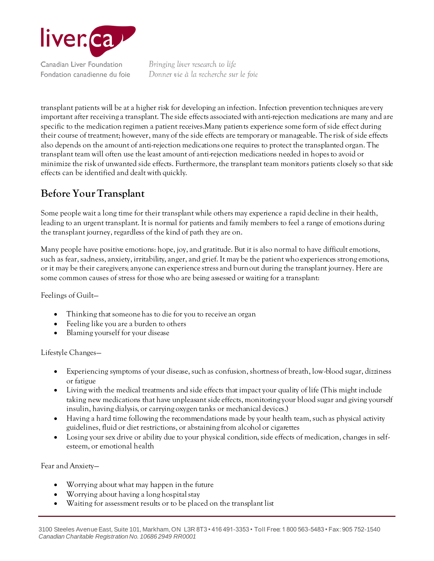

transplant patients will be at a higher risk for developing an infection. Infection prevention techniques are very important after receiving a transplant. The side effects associated with anti-rejection medications are many and are specific to the medication regimen a patient receives.Many patients experience some form of side effect during their course of treatment; however, many of the side effects are temporary or manageable. The risk of side effects also depends on the amount of anti-rejection medications one requires to protect the transplanted organ. The transplant team will often use the least amount of anti-rejection medications needed in hopes to avoid or minimize the risk of unwanted side effects. Furthermore, the transplant team monitors patients closely so that side effects can be identified and dealt with quickly.

# **Before Your Transplant**

Some people wait a long time for their transplant while others may experience a rapid decline in their health, leading to an urgent transplant. It is normal for patients and family members to feel a range of emotions during the transplant journey, regardless of the kind of path they are on.

Many people have positive emotions: hope, joy, and gratitude. But it is also normal to have difficult emotions, such as fear, sadness, anxiety, irritability, anger, and grief. It may be the patient who experiences strong emotions, or it may be their caregivers; anyone can experience stress and burnout during the transplant journey. Here are some common causes of stress for those who are being assessed or waiting for a transplant:

Feelings of Guilt—

- Thinking that someone has to die for you to receive an organ
- Feeling like you are a burden to others
- Blaming yourself for your disease

Lifestyle Changes—

- Experiencing symptoms of your disease, such as confusion, shortness of breath, low-blood sugar, dizziness or fatigue
- Living with the medical treatments and side effects that impact your quality of life (This might include taking new medications that have unpleasant side effects, monitoring your blood sugar and giving yourself insulin, having dialysis, or carrying oxygen tanks or mechanical devices.)
- Having a hard time following the recommendations made by your health team, such as physical activity guidelines, fluid or diet restrictions, or abstaining from alcohol or cigarettes
- Losing your sex drive or ability due to your physical condition, side effects of medication, changes in selfesteem, or emotional health

Fear and Anxiety—

- Worrying about what may happen in the future
- Worrying about having a long hospital stay
- Waiting for assessment results or to be placed on the transplant list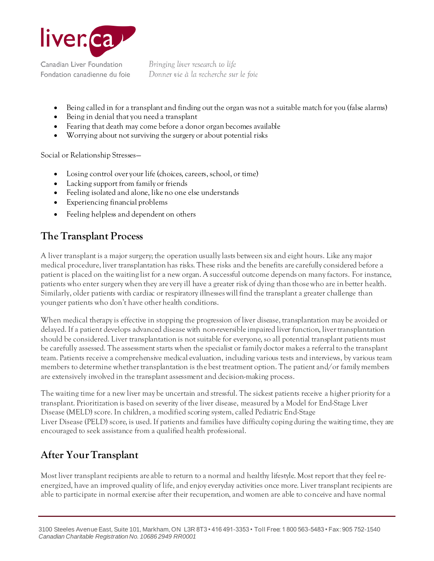

Canadian Liver Foundation Fondation canadienne du foie

Bringing liver research to life Donner vie à la recherche sur le foie

- Being called in for a transplant and finding out the organ was not a suitable match for you (false alarms)
- Being in denial that you need a transplant
- Fearing that death may come before a donor organ becomes available
- Worrying about not surviving the surgery or about potential risks

Social or Relationship Stresses—

- Losing control over your life (choices, careers, school, or time)
- Lacking support from family or friends
- Feeling isolated and alone, like no one else understands
- Experiencing financial problems
- Feeling helpless and dependent on others

#### **The Transplant Process**

A liver transplant is a major surgery; the operation usuallylasts between six and eight hours. Like any major medical procedure, liver transplantation has risks. These risks and the benefits are carefully considered before a patient is placed on the waiting list for a new organ. A successful outcome depends on many factors. For instance, patients who enter surgery when they are very ill have a greater risk of dying than those who are in better health. Similarly, older patients with cardiac or respiratory illnesses will find the transplant a greater challenge than younger patients who don't have other health conditions.

When medical therapy is effective in stopping the progression of liver disease, transplantation may be avoided or delayed. If a patient develops advanced disease with non-reversible impaired liver function, liver transplantation should be considered. Liver transplantation is not suitable for everyone, so all potential transplant patients must be carefully assessed. The assessment starts when the specialist or family doctor makes a referral to the transplant team. Patients receive a comprehensive medical evaluation, including various tests and interviews, by various team members to determine whether transplantation is the best treatment option. The patient and/or family members are extensively involved in the transplant assessment and decision-making process.

The waiting time for a new liver may be uncertain and stressful. The sickest patients receive a higher priority for a transplant. Prioritization is based on severity of the liver disease, measured by a Model for End-Stage Liver Disease (MELD) score. In children, a modified scoring system, called Pediatric End-Stage Liver Disease (PELD) score, is used. If patients and families have difficulty coping during the waiting time, they are encouraged to seek assistance from a qualified health professional.

# **After Your Transplant**

Most liver transplant recipients are able to return to a normal and healthy lifestyle. Most report that they feel reenergized, have an improved quality of life, and enjoy everyday activities once more. Liver transplant recipients are able to participate in normal exercise after their recuperation, and women are able to conceive and have normal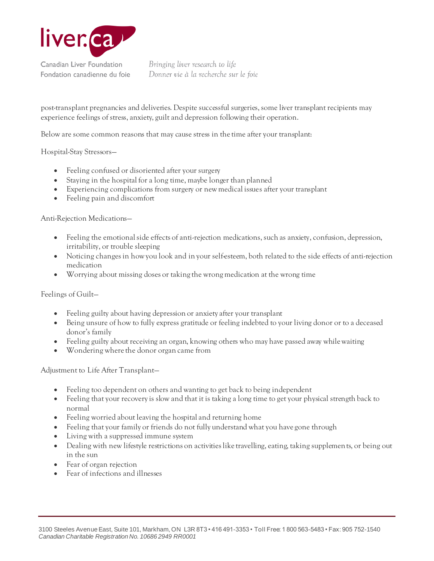

Canadian Liver Foundation Fondation canadienne du foie

Bringing liver research to life Donner vie à la recherche sur le foie

post-transplant pregnancies and deliveries. Despite successful surgeries, some liver transplant recipients may experience feelings of stress, anxiety, guilt and depression following their operation.

Below are some common reasons that may cause stress in the time after your transplant:

Hospital-Stay Stressors—

- Feeling confused or disoriented after your surgery
- Staying in the hospital for a long time, maybe longer than planned
- Experiencing complications from surgery or new medical issues after your transplant
- Feeling pain and discomfort

Anti-Rejection Medications—

- Feeling the emotional side effects of anti-rejection medications, such as anxiety, confusion, depression, irritability, or trouble sleeping
- Noticing changes in how you look and in your self-esteem, both related to the side effects of anti-rejection medication
- Worrying about missing doses or taking the wrong medication at the wrong time

Feelings of Guilt—

- Feeling guilty about having depression or anxiety after your transplant
- Being unsure of how to fully express gratitude or feeling indebted to your living donor or to a deceased donor's family
- Feeling guilty about receiving an organ, knowing others who may have passed away while waiting
- Wondering where the donor organ came from

Adjustment to Life After Transplant—

- Feeling too dependent on others and wanting to get back to being independent
- Feeling that your recovery is slow and that it is taking a long time to get your physical strength back to normal
- Feeling worried about leaving the hospital and returning home
- Feeling that your family or friends do not fully understand what you have gone through
- Living with a suppressed immune system
- Dealing with new lifestyle restrictions on activities like travelling, eating, taking supplements, or being out in the sun
- Fear of organ rejection
- Fear of infections and illnesses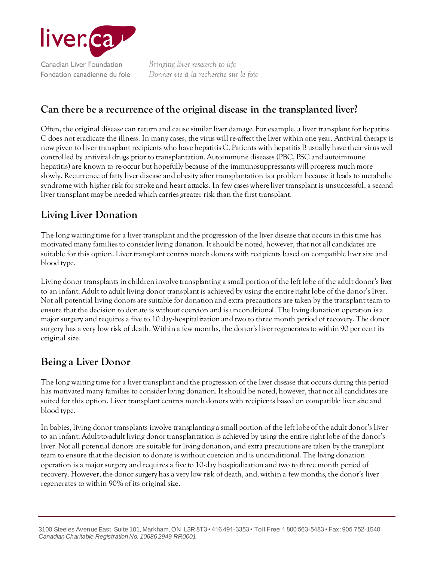

#### **Can there be a recurrence of the original disease in the transplanted liver?**

Often, the original disease can return and cause similar liver damage. For example, a liver transplant for hepatitis C does not eradicate the illness. In many cases, the virus will re-affect the liver within one year. Antiviral therapy is now given to liver transplant recipients who have hepatitis C. Patients with hepatitis B usually have their virus well controlled by antiviral drugs prior to transplantation. Autoimmune diseases (PBC, PSC and autoimmune hepatitis) are known to re-occur but hopefully because of the immunosuppressants will progress much more slowly. Recurrence of fatty liver disease and obesity after transplantation is a problem because it leads to metabolic syndrome with higher risk for stroke and heart attacks. In few cases where liver transplant is unsuccessful, a second liver transplant may be needed which carries greater risk than the first transplant.

# **Living Liver Donation**

The long waiting time for a liver transplant and the progression of the liver disease that occurs in this time has motivated many families to consider living donation. It should be noted, however, that not all candidates are suitable for this option. Liver transplant centres match donors with recipients based on compatible liver size and blood type.

Living donor transplants in children involve transplanting a small portion of the left lobe of the adult donor's liver to an infant. Adult to adult living donor transplant is achieved by using the entire right lobe of the donor's liver. Not all potential living donors are suitable for donation and extra precautions are taken by the transplant team to ensure that the decision to donate is without coercion and is unconditional. The living donation operation is a major surgery and requires a five to 10 day-hospitalization and two to three month period of recovery. The donor surgery has a very low risk of death. Within a few months, the donor's liver regenerates to within 90 per cent its original size.

# **Being a Liver Donor**

The long waiting time for a liver transplant and the progression of the liver disease that occurs during this period has motivated many families to consider living donation. It should be noted, however, that not all candidates are suited for this option. Liver transplant centres match donors with recipients based on compatible liver size and blood type.

In babies, living donor transplants involve transplanting a small portion of the left lobe of the adult donor's liver to an infant. Adult-to-adult living donor transplantation is achieved by using the entire right lobe of the donor's liver. Not all potential donors are suitable for living donation, and extra precautions are taken by the transplant team to ensure that the decision to donate is without coercion and is unconditional. The living donation operation is a major surgery and requires a five to 10-day hospitalization and two to three month period of recovery. However, the donor surgery has a very low risk of death, and, within a few months, the donor's liver regenerates to within 90% of its original size.